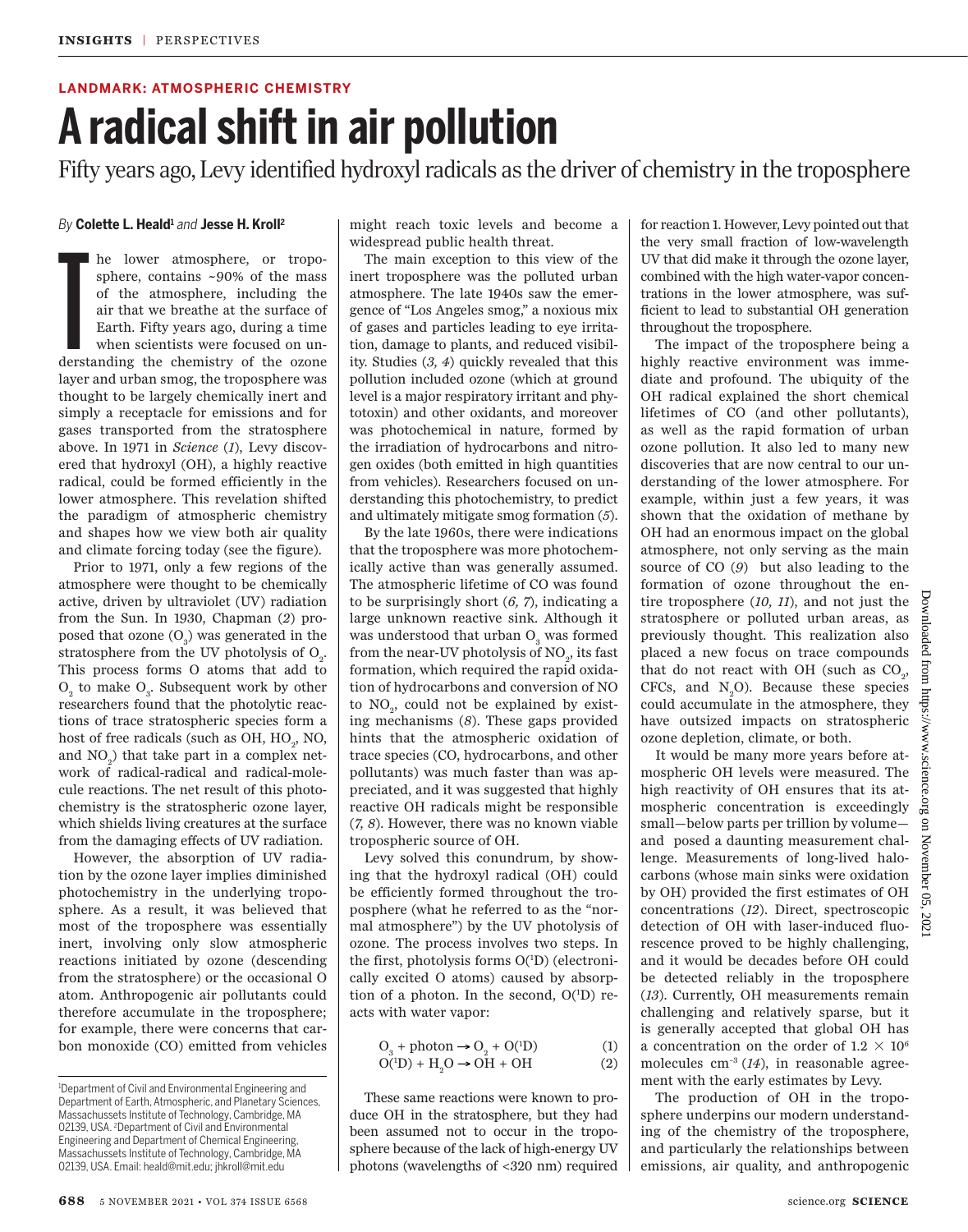### **LANDMARK: ATMOSPHERIC CHEMISTRY**

# **A radical shift in air pollution**

Fifty years ago, Levy identified hydroxyl radicals as the driver of chemistry in the troposphere

## *By* **Colette L. Heald<sup>1</sup>** *and* **Jesse H. Kroll<sup>2</sup>**

T<br>derst he lower atmosphere, or troposphere, contains ~90% of the mass of the atmosphere, including the air that we breathe at the surface of Earth. Fifty years ago, during a time when scientists were focused on understanding the chemistry of the ozone layer and urban smog, the troposphere was thought to be largely chemically inert and simply a receptacle for emissions and for gases transported from the stratosphere above. In 1971 in *Science* (*1*), Levy discovered that hydroxyl (OH), a highly reactive radical, could be formed efficiently in the lower atmosphere. This revelation shifted the paradigm of atmospheric chemistry and shapes how we view both air quality and climate forcing today (see the figure).

Prior to 1971, only a few regions of the atmosphere were thought to be chemically active, driven by ultraviolet (UV) radiation from the Sun. In 1930, Chapman (*2*) proposed that ozone  $(O_3)$  was generated in the stratosphere from the UV photolysis of  $O_2$ . This process forms O atoms that add to  $\mathrm{O}_\mathrm{2}$  to make  $\mathrm{O}_\mathrm{3}.$  Subsequent work by other researchers found that the photolytic reactions of trace stratospheric species form a host of free radicals (such as OH,  $HO_2$ , NO, and  $NO<sub>2</sub>$ ) that take part in a complex network of radical-radical and radical-molecule reactions. The net result of this photochemistry is the stratospheric ozone layer, which shields living creatures at the surface from the damaging effects of UV radiation.

However, the absorption of UV radiation by the ozone layer implies diminished photochemistry in the underlying troposphere. As a result, it was believed that most of the troposphere was essentially inert, involving only slow atmospheric reactions initiated by ozone (descending from the stratosphere) or the occasional O atom. Anthropogenic air pollutants could therefore accumulate in the troposphere; for example, there were concerns that carbon monoxide (CO) emitted from vehicles might reach toxic levels and become a widespread public health threat.

The main exception to this view of the inert troposphere was the polluted urban atmosphere. The late 1940s saw the emergence of "Los Angeles smog," a noxious mix of gases and particles leading to eye irritation, damage to plants, and reduced visibility. Studies (*3, 4*) quickly revealed that this pollution included ozone (which at ground level is a major respiratory irritant and phytotoxin) and other oxidants, and moreover was photochemical in nature, formed by the irradiation of hydrocarbons and nitrogen oxides (both emitted in high quantities from vehicles). Researchers focused on understanding this photochemistry, to predict and ultimately mitigate smog formation (*5*).

By the late 1960s, there were indications that the troposphere was more photochemically active than was generally assumed. The atmospheric lifetime of CO was found to be surprisingly short (*6, 7*), indicating a large unknown reactive sink. Although it was understood that urban ${\rm O}_{\!_3}$  was formed from the near-UV photolysis of  $\mathrm{NO}_2^{}$ , its fast formation, which required the rapid oxidation of hydrocarbons and conversion of NO to  $\mathrm{NO}_2^{\vphantom{2}}$ , could not be explained by existing mechanisms (*8*). These gaps provided hints that the atmospheric oxidation of trace species (CO, hydrocarbons, and other pollutants) was much faster than was appreciated, and it was suggested that highly reactive OH radicals might be responsible (*7, 8*). However, there was no known viable tropospheric source of OH.

 Levy solved this conundrum, by showing that the hydroxyl radical (OH) could be efficiently formed throughout the troposphere (what he referred to as the "normal atmosphere") by the UV photolysis of ozone. The process involves two steps. In the first, photolysis forms O(1D) (electronically excited O atoms) caused by absorption of a photon. In the second, O(<sup>1</sup>D) reacts with water vapor:

$$
O_3 + \text{photon} \rightarrow O_2 + O(^1D) \tag{1}
$$
  
 
$$
O(^1D) + H_2O \rightarrow OH + OH \tag{2}
$$

These same reactions were known to produce OH in the stratosphere, but they had been assumed not to occur in the troposphere because of the lack of high-energy UV photons (wavelengths of <320 nm) required for reaction 1. However, Levy pointed out that the very small fraction of low-wavelength UV that did make it through the ozone layer, combined with the high water-vapor concentrations in the lower atmosphere, was sufficient to lead to substantial OH generation throughout the troposphere.

The impact of the troposphere being a highly reactive environment was immediate and profound. The ubiquity of the OH radical explained the short chemical lifetimes of CO (and other pollutants), as well as the rapid formation of urban ozone pollution. It also led to many new discoveries that are now central to our understanding of the lower atmosphere. For example, within just a few years, it was shown that the oxidation of methane by OH had an enormous impact on the global atmosphere, not only serving as the main source of CO (*9*) but also leading to the formation of ozone throughout the entire troposphere (*10, 11*), and not just the stratosphere or polluted urban areas, as previously thought. This realization also placed a new focus on trace compounds that do not react with OH (such as  $CO<sub>2</sub>$ ,  $CFCs$ , and  $N_0O$ . Because these species could accumulate in the atmosphere, they have outsized impacts on stratospheric ozone depletion, climate, or both.

It would be many more years before atmospheric OH levels were measured. The high reactivity of OH ensures that its atmospheric concentration is exceedingly small—below parts per trillion by volume and posed a daunting measurement challenge. Measurements of long-lived halocarbons (whose main sinks were oxidation by OH) provided the first estimates of OH concentrations (*12*). Direct, spectroscopic detection of OH with laser-induced fluorescence proved to be highly challenging, and it would be decades before OH could be detected reliably in the troposphere (*13*). Currently, OH measurements remain challenging and relatively sparse, but it is generally accepted that global OH has a concentration on the order of 1.2  $\times$  10<sup>6</sup> molecules cm–3 (*14*), in reasonable agreement with the early estimates by Levy.

The production of OH in the troposphere underpins our modern understanding of the chemistry of the troposphere, and particularly the relationships between emissions, air quality, and anthropogenic

<sup>&</sup>lt;sup>1</sup>Department of Civil and Environmental Engineering and Department of Earth, Atmospheric, and Planetary Sciences, Massachussets Institute of Technology, Cambridge, MA 02139, USA. <sup>2</sup>Department of Civil and Environmental Engineering and Department of Chemical Engineering, Massachussets Institute of Technology, Cambridge, MA 02139, USA. Email: heald@mit.edu; jhkroll@mit.edu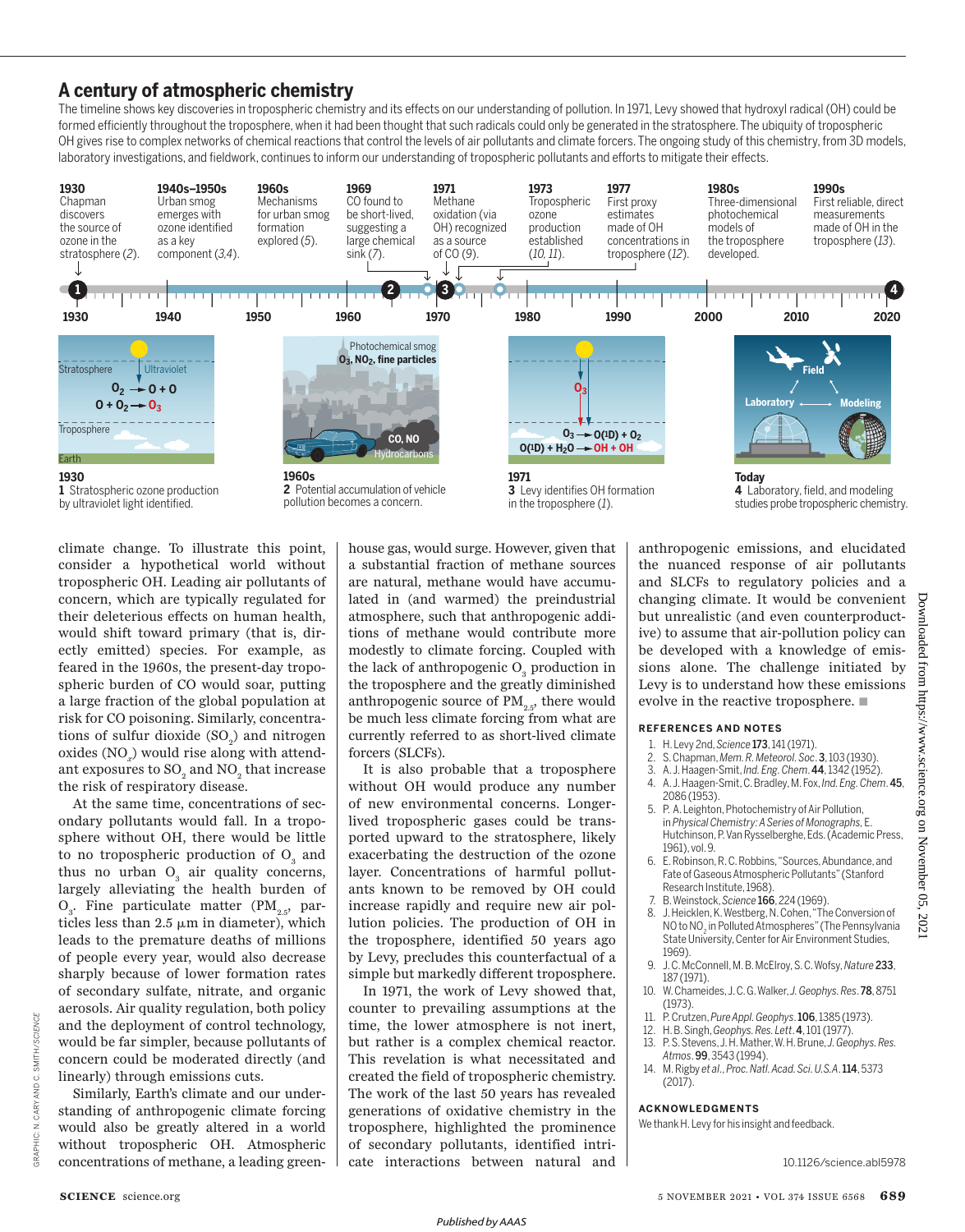## **A century of atmospheric chemistry**

The timeline shows key discoveries in tropospheric chemistry and its effects on our understanding of pollution. In 1971, Levy showed that hydroxyl radical (OH) could be formed efficiently throughout the troposphere, when it had been thought that such radicals could only be generated in the stratosphere. The ubiquity of tropospheric OH gives rise to complex networks of chemical reactions that control the levels of air pollutants and climate forcers. The ongoing study of this chemistry, from 3D models, laboratory investigations, and fieldwork, continues to inform our understanding of tropospheric pollutants and efforts to mitigate their effects.



climate change. To illustrate this point, consider a hypothetical world without tropospheric OH. Leading air pollutants of concern, which are typically regulated for their deleterious effects on human health, would shift toward primary (that is, directly emitted) species. For example, as feared in the 1960s, the present-day tropospheric burden of CO would soar, putting a large fraction of the global population at risk for CO poisoning. Similarly, concentrations of sulfur dioxide  $(SO_2)$  and nitrogen oxides  $\left(\mathrm{NO}_{x}\right)$  would rise along with attendant exposures to  $\mathrm{SO}_2$  and  $\mathrm{NO}_2$  that increase the risk of respiratory disease.

At the same time, concentrations of secondary pollutants would fall. In a troposphere without OH, there would be little to no tropospheric production of  $O_3$  and thus no urban  $O_3$  air quality concerns, largely alleviating the health burden of  $O_3$ . Fine particulate matter (P $M_{2.5}$ , particles less than  $2.5 \mu m$  in diameter), which leads to the premature deaths of millions of people every year, would also decrease sharply because of lower formation rates of secondary sulfate, nitrate, and organic aerosols. Air quality regulation, both policy and the deployment of control technology, would be far simpler, because pollutants of concern could be moderated directly (and linearly) through emissions cuts.

Similarly, Earth's climate and our understanding of anthropogenic climate forcing would also be greatly altered in a world without tropospheric OH. Atmospheric concentrations of methane, a leading greenhouse gas, would surge. However, given that a substantial fraction of methane sources are natural, methane would have accumulated in (and warmed) the preindustrial atmosphere, such that anthropogenic additions of methane would contribute more modestly to climate forcing. Coupled with the lack of anthropogenic  $\mathrm{O}_\mathrm{3}$  production in the troposphere and the greatly diminished anthropogenic source of  $PM_{25}$ , there would be much less climate forcing from what are currently referred to as short-lived climate forcers (SLCFs).

It is also probable that a troposphere without OH would produce any number of new environmental concerns. Longerlived tropospheric gases could be transported upward to the stratosphere, likely exacerbating the destruction of the ozone layer. Concentrations of harmful pollutants known to be removed by OH could increase rapidly and require new air pollution policies. The production of OH in the troposphere, identified 50 years ago by Levy, precludes this counterfactual of a simple but markedly different troposphere.

In 1971, the work of Levy showed that, counter to prevailing assumptions at the time, the lower atmosphere is not inert, but rather is a complex chemical reactor. This revelation is what necessitated and created the field of tropospheric chemistry. The work of the last 50 years has revealed generations of oxidative chemistry in the troposphere, highlighted the prominence of secondary pollutants, identified intricate interactions between natural and anthropogenic emissions, and elucidated the nuanced response of air pollutants and SLCFs to regulatory policies and a changing climate. It would be convenient but unrealistic (and even counterproductive) to assume that air-pollution policy can be developed with a knowledge of emissions alone. The challenge initiated by Levy is to understand how these emissions evolve in the reactive troposphere.  $\blacksquare$ 

#### **REFERENCES AND NOTES**

- 1. H. Levy 2nd, *Science* 173, 141 (1971).
- 2. S. Chapman, *Mem. R. Meteorol. Soc*. 3, 103 (1930).
- 3. A. J. Haagen-Smit, *Ind. Eng. Chem*. 44, 1342 (1952).
- 4. A. J. Haagen-Smit, C. Bradley, M. Fox, *Ind. Eng. Chem*. 45, 2086 (1953).
- 5. P. A. Leighton, Photochemistry of Air Pollution, in *Physical Chemistry: A Series of Monographs,* E. Hutchinson, P. Van Rysselberghe, Eds. (Academic Press, 1961), vol. 9.
- 6. E. Robinson, R. C. Robbins, "Sources, Abundance, and Fate of Gaseous Atmospheric Pollutants" (Stanford Research Institute, 1968).
- 7. B. Weinstock, *Science* 166, 224 (1969).
- 8. J. Heicklen, K. Westberg, N. Cohen, "The Conversion of NO to NO<sub>2</sub> in Polluted Atmospheres" (The Pennsylvania State University, Center for Air Environment Studies, 1969).
- 9. J. C. McConnell, M. B. McElroy, S. C. Wofsy, *Nature* 233, 187 (1971).
- 10. W. Chameides, J. C. G. Walker, *J. Geophys. Res*. 78, 8751 (1973).
- 11. P. Crutzen, *Pure Appl. Geophys*. 106, 1385 (1973).
- 12. H. B. Singh, *Geophys. Res. Lett*. 4, 101 (1977).
- 13. P. S. Stevens, J. H. Mather, W. H. Brune, *J. Geophys. Res. Atmos*. 99, 3543 (1994).
- 14. M. Rigby *et al*., *Proc. Natl. Acad. Sci. U.S.A*. 114, 5373 (2017).

#### **ACKNOWLEDGMENTS**

We thank H. Levy for his insight and feedback.